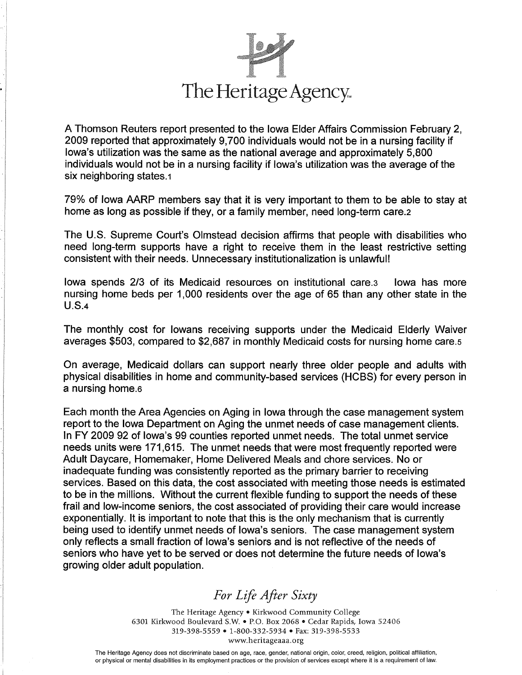

I

A Thomson Reuters report presented to the lowa Elder Affairs Commission February 2, 2009 reported that approximately 9,700 individuals would not be in a nursing facility if lowa's utilization was the same as the national average and approximately 5,800 individuals would not be in a nursing facility if lowa's utilization was the average of the six neighboring states.1

79% of lowa AARP members say that it is very important to them to be able to stay at home as long as possible if they, or a family member, need long-term care.2

The U.S. Supreme Court's Olmstead decision affirms that people with disabilities who need long-term supports have a right to receive them in the least restrictive setting consistent with their needs. Unnecessary institutionalization is unlawful!

fowa spends 213 of its Medicaid resources on institutional care.s lowa has more nursing home beds per 1,000 residents over the age of 65 than any other state in the U.S.+

The monthly cost for lowans receiving supports under the Medicaid Elderly Waiver averages \$503, compared to \$2,687 in monthly Medicaid costs for nursing home care.s

On average, Medicaid dollars can support nearly three older people and adults with physical disabilities in home and community-based services (HCBS) for every person in a nursing home.6

Each month the Area Agencies on Aging in lowa through the case management system repod to the lowa Department on Aging the unmet needs of case management clients. In FY 2009 92 of lowa's 99 counties reported unmet needs. The total unmet service needs units were 171,615. The unmet needs that were most frequently reported were Adult Daycare, Homemaker, Home Delivered Meals and chore services. No or inadequate funding was consistently reported as the primary barrier to receiving services. Based on this data, the cost associated with meeting those needs is estimated to be in the millions. Wíthout the current flexible funding to support he needs of these frail and low-income seniors, the cost associated of providing their care would increase exponentially. lt is important to note that this is the only mechanism that is currently being used to identify unmet needs of lowa's seniors. The case management system only reflects a small fraction of lowa's seniors and is not reflective of the needs of seniors who have yet to be served or does not determine the future needs of lowa's growing older adult population.

For Life After Sixt

The Heritage Agency • Kirkwood Community College 6301 Kirkwood Boulevard S.W. . P.O. Box 2068 . Cedar Rapids, Iowa 52406 319-398-5559 • 1-800-332-5934 • Fax: 319-398-5533 www.heritageaaa.org

The Heritage Agency does not discriminate based on age, race, gender, national origin, color, creed, religion, political affiliation, or physical or mental disabilities in its employment practices or the provision of services except where it is a requirement of law.